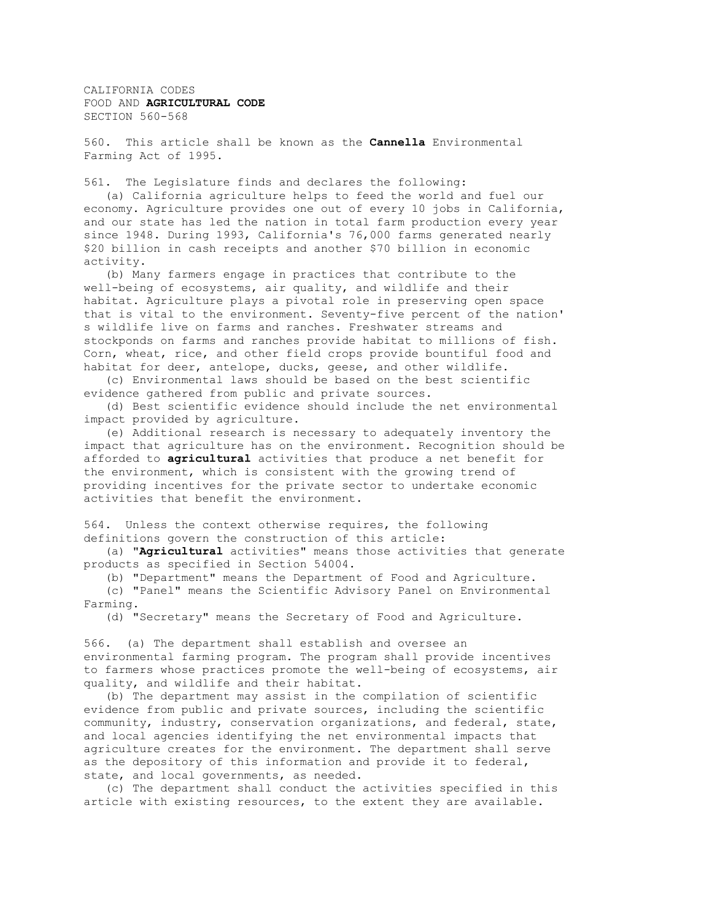CALIFORNIA CODES FOOD AND **AGRICULTURAL CODE** SECTION 560-568

560. This article shall be known as the **Cannella** Environmental Farming Act of 1995.

561. The Legislature finds and declares the following:

 (a) California agriculture helps to feed the world and fuel our economy. Agriculture provides one out of every 10 jobs in California, and our state has led the nation in total farm production every year since 1948. During 1993, California's 76,000 farms generated nearly \$20 billion in cash receipts and another \$70 billion in economic activity.

 (b) Many farmers engage in practices that contribute to the well-being of ecosystems, air quality, and wildlife and their habitat. Agriculture plays a pivotal role in preserving open space that is vital to the environment. Seventy-five percent of the nation' s wildlife live on farms and ranches. Freshwater streams and stockponds on farms and ranches provide habitat to millions of fish. Corn, wheat, rice, and other field crops provide bountiful food and habitat for deer, antelope, ducks, geese, and other wildlife.

 (c) Environmental laws should be based on the best scientific evidence gathered from public and private sources.

 (d) Best scientific evidence should include the net environmental impact provided by agriculture.

 (e) Additional research is necessary to adequately inventory the impact that agriculture has on the environment. Recognition should be afforded to **agricultural** activities that produce a net benefit for the environment, which is consistent with the growing trend of providing incentives for the private sector to undertake economic activities that benefit the environment.

564. Unless the context otherwise requires, the following definitions govern the construction of this article:

 (a) "**Agricultural** activities" means those activities that generate products as specified in Section 54004.

(b) "Department" means the Department of Food and Agriculture.

 (c) "Panel" means the Scientific Advisory Panel on Environmental Farming.

(d) "Secretary" means the Secretary of Food and Agriculture.

566. (a) The department shall establish and oversee an environmental farming program. The program shall provide incentives to farmers whose practices promote the well-being of ecosystems, air quality, and wildlife and their habitat.

 (b) The department may assist in the compilation of scientific evidence from public and private sources, including the scientific community, industry, conservation organizations, and federal, state, and local agencies identifying the net environmental impacts that agriculture creates for the environment. The department shall serve as the depository of this information and provide it to federal, state, and local governments, as needed.

 (c) The department shall conduct the activities specified in this article with existing resources, to the extent they are available.